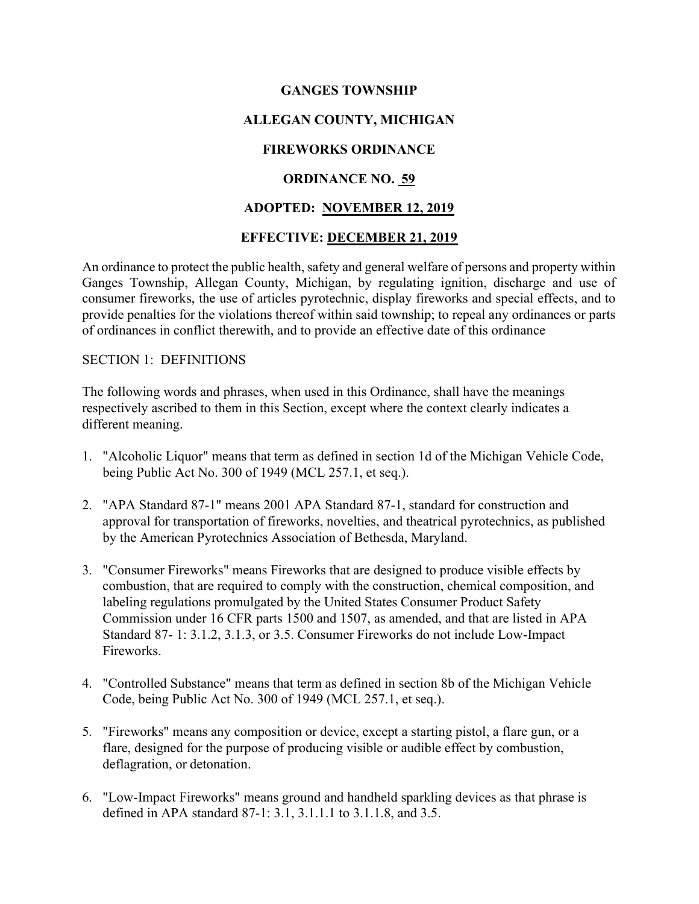## GANGES TOWNSHIP

# ALLEGAN COUNTY, MICHIGAN

## FIREWORKS ORDINANCE

### ORDINANCE NO. 59

### ADOPTED: NOVEMBER 12, 2019

### EFFECTIVE: DECEMBER 21, 2019

An ordinance to protect the public health, safety and general welfare of persons and property within Ganges Township, Allegan County, Michigan, by regulating ignition, discharge and use of consumer fireworks, the use of articles pyrotechnic, display fireworks and special effects, and to provide penalties for the violations thereof within said township; to repeal any ordinances or parts of ordinances in conflict therewith, and to provide an effective date of this ordinance

#### SECTION 1: DEFINITIONS

The following words and phrases, when used in this Ordinance, shall have the meanings respectively ascribed to them in this Section, except where the context clearly indicates a different meaning.

- 1. "Alcoholic Liquor" means that term as defined in section 1d of the Michigan Vehicle Code, being Public Act No. 300 of 1949 (MCL 257.1, et seq.).
- 2. "APA Standard 87-1" means 2001 APA Standard 87-1, standard for construction and approval for transportation of fireworks, novelties, and theatrical pyrotechnics, as published by the American Pyrotechnics Association of Bethesda, Maryland.
- 3. "Consumer Fireworks" means Fireworks that are designed to produce visible effects by combustion, that are required to comply with the construction, chemical composition, and labeling regulations promulgated by the United States Consumer Product Safety Commission under 16 CFR parts 1500 and 1507, as amended, and that are listed in APA Standard 87- 1: 3.1.2, 3.1.3, or 3.5. Consumer Fireworks do not include Low-Impact Fireworks.
- 4. "Controlled Substance" means that term as defined in section 8b of the Michigan Vehicle Code, being Public Act No. 300 of 1949 (MCL 257.1, et seq.).
- 5. "Fireworks" means any composition or device, except a starting pistol, a flare gun, or a flare, designed for the purpose of producing visible or audible effect by combustion, deflagration, or detonation.
- 6. "Low-Impact Fireworks" means ground and handheld sparkling devices as that phrase is defined in APA standard 87-1: 3.1, 3.1.1.1 to 3.1.1.8, and 3.5.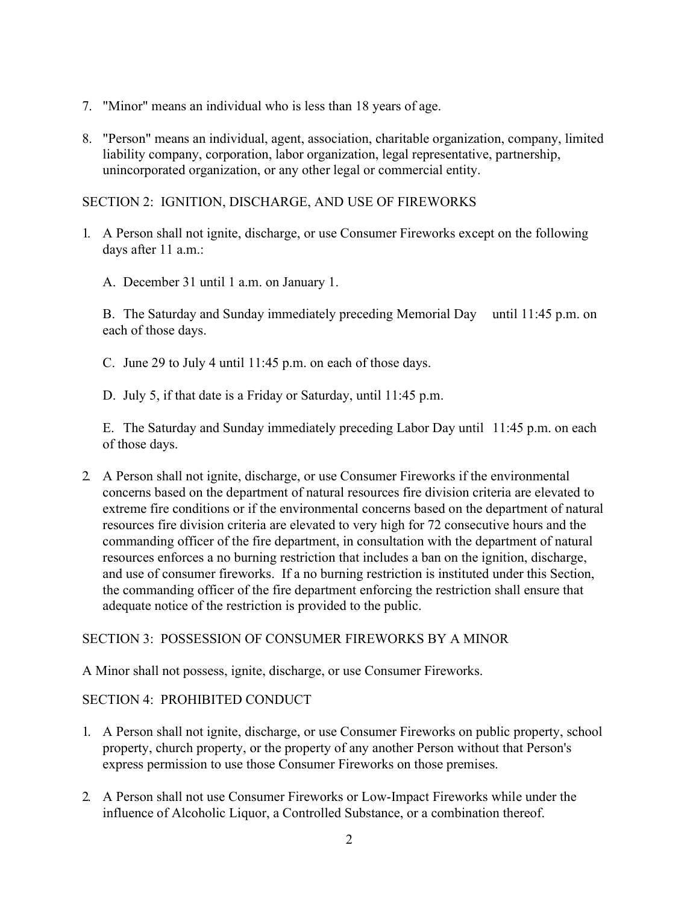- 7. "Minor" means an individual who is less than 18 years of age.
- 8. "Person" means an individual, agent, association, charitable organization, company, limited liability company, corporation, labor organization, legal representative, partnership, unincorporated organization, or any other legal or commercial entity.

# SECTION 2: IGNITION, DISCHARGE, AND USE OF FIREWORKS

- 1. A Person shall not ignite, discharge, or use Consumer Fireworks except on the following days after 11 a.m.:
	- A. December 31 until 1 a.m. on January 1.

 B. The Saturday and Sunday immediately preceding Memorial Day until 11:45 p.m. on each of those days.

- C. June 29 to July 4 until 11:45 p.m. on each of those days.
- D. July 5, if that date is a Friday or Saturday, until 11:45 p.m.

 E. The Saturday and Sunday immediately preceding Labor Day until 11:45 p.m. on each of those days.

2. A Person shall not ignite, discharge, or use Consumer Fireworks if the environmental concerns based on the department of natural resources fire division criteria are elevated to extreme fire conditions or if the environmental concerns based on the department of natural resources fire division criteria are elevated to very high for 72 consecutive hours and the commanding officer of the fire department, in consultation with the department of natural resources enforces a no burning restriction that includes a ban on the ignition, discharge, and use of consumer fireworks. If a no burning restriction is instituted under this Section, the commanding officer of the fire department enforcing the restriction shall ensure that adequate notice of the restriction is provided to the public.

### SECTION 3: POSSESSION OF CONSUMER FIREWORKS BY A MINOR

A Minor shall not possess, ignite, discharge, or use Consumer Fireworks.

### SECTION 4: PROHIBITED CONDUCT

- 1. A Person shall not ignite, discharge, or use Consumer Fireworks on public property, school property, church property, or the property of any another Person without that Person's express permission to use those Consumer Fireworks on those premises.
- 2. A Person shall not use Consumer Fireworks or Low-Impact Fireworks while under the influence of Alcoholic Liquor, a Controlled Substance, or a combination thereof.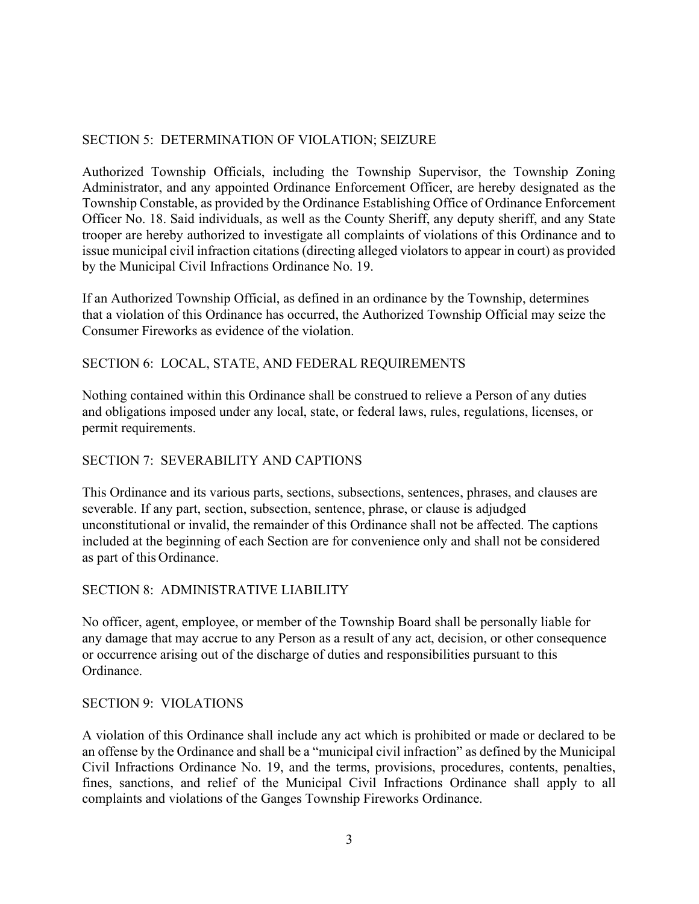# SECTION 5: DETERMINATION OF VIOLATION; SEIZURE

Authorized Township Officials, including the Township Supervisor, the Township Zoning Administrator, and any appointed Ordinance Enforcement Officer, are hereby designated as the Township Constable, as provided by the Ordinance Establishing Office of Ordinance Enforcement Officer No. 18. Said individuals, as well as the County Sheriff, any deputy sheriff, and any State trooper are hereby authorized to investigate all complaints of violations of this Ordinance and to issue municipal civil infraction citations (directing alleged violators to appear in court) as provided by the Municipal Civil Infractions Ordinance No. 19.

If an Authorized Township Official, as defined in an ordinance by the Township, determines that a violation of this Ordinance has occurred, the Authorized Township Official may seize the Consumer Fireworks as evidence of the violation.

## SECTION 6: LOCAL, STATE, AND FEDERAL REQUIREMENTS

Nothing contained within this Ordinance shall be construed to relieve a Person of any duties and obligations imposed under any local, state, or federal laws, rules, regulations, licenses, or permit requirements.

### SECTION 7: SEVERABILITY AND CAPTIONS

This Ordinance and its various parts, sections, subsections, sentences, phrases, and clauses are severable. If any part, section, subsection, sentence, phrase, or clause is adjudged unconstitutional or invalid, the remainder of this Ordinance shall not be affected. The captions included at the beginning of each Section are for convenience only and shall not be considered as part of this Ordinance.

### SECTION 8: ADMINISTRATIVE LIABILITY

No officer, agent, employee, or member of the Township Board shall be personally liable for any damage that may accrue to any Person as a result of any act, decision, or other consequence or occurrence arising out of the discharge of duties and responsibilities pursuant to this Ordinance.

### SECTION 9: VIOLATIONS

A violation of this Ordinance shall include any act which is prohibited or made or declared to be an offense by the Ordinance and shall be a "municipal civil infraction" as defined by the Municipal Civil Infractions Ordinance No. 19, and the terms, provisions, procedures, contents, penalties, fines, sanctions, and relief of the Municipal Civil Infractions Ordinance shall apply to all complaints and violations of the Ganges Township Fireworks Ordinance.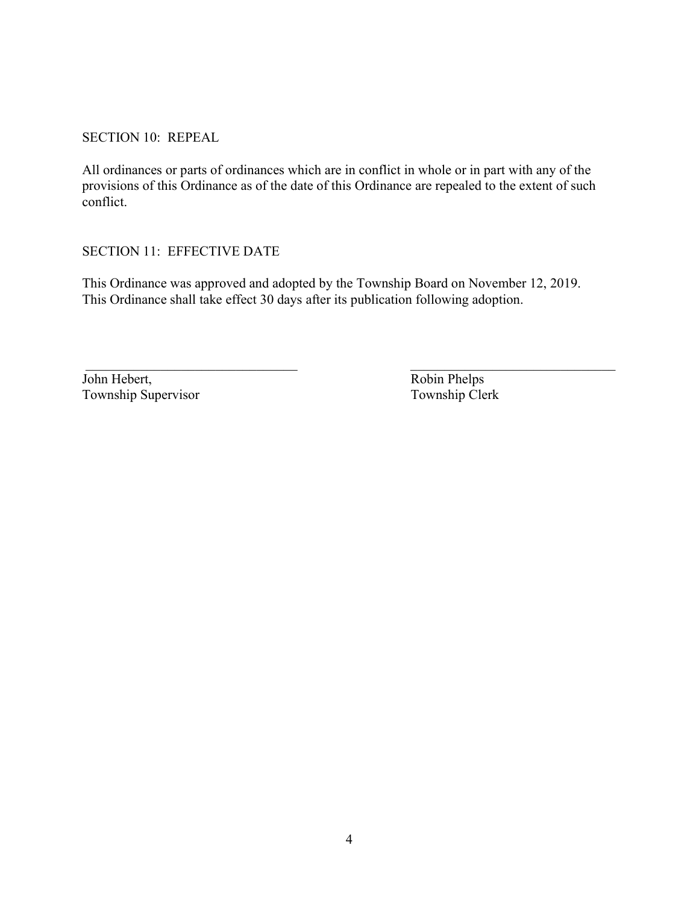SECTION 10: REPEAL

All ordinances or parts of ordinances which are in conflict in whole or in part with any of the provisions of this Ordinance as of the date of this Ordinance are repealed to the extent of such conflict.

SECTION 11: EFFECTIVE DATE

This Ordinance was approved and adopted by the Township Board on November 12, 2019. This Ordinance shall take effect 30 days after its publication following adoption.

\_\_\_\_\_\_\_\_\_\_\_\_\_\_\_\_\_\_\_\_\_\_\_\_\_\_\_\_\_\_\_ \_\_\_\_\_\_\_\_\_\_\_\_\_\_\_\_\_\_\_\_\_\_\_\_\_\_\_\_\_\_

John Hebert,<br>
Township Supervisor<br>
Township Clerk<br>
Township Clerk Township Supervisor